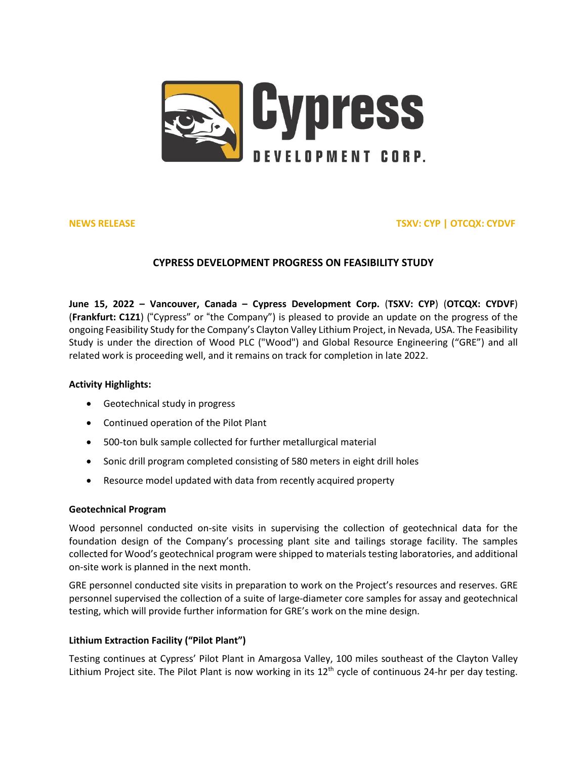

# **NEWS RELEASE TSXV: CYP | OTCQX: CYDVF**

# **CYPRESS DEVELOPMENT PROGRESS ON FEASIBILITY STUDY**

**June 15, 2022 – Vancouver, Canada – Cypress Development Corp.** (**TSXV: [CYP](https://money.tmx.com/en/quote/CYP)**) (**OTCQX: [CYDVF](https://www.otcmarkets.com/stock/CYDVF/overview)**) (**Frankfurt: [C1Z1](https://www.boerse-frankfurt.de/equity/cypress-development-corp)**) ("Cypress" or "the Company") is pleased to provide an update on the progress of the ongoing Feasibility Study for the Company's Clayton Valley Lithium Project, in Nevada, USA. The Feasibility Study is under the direction of Wood PLC ("Wood") and Global Resource Engineering ("GRE") and all related work is proceeding well, and it remains on track for completion in late 2022.

## **Activity Highlights:**

- Geotechnical study in progress
- Continued operation of the Pilot Plant
- 500-ton bulk sample collected for further metallurgical material
- Sonic drill program completed consisting of 580 meters in eight drill holes
- Resource model updated with data from recently acquired property

# **Geotechnical Program**

Wood personnel conducted on-site visits in supervising the collection of geotechnical data for the foundation design of the Company's processing plant site and tailings storage facility. The samples collected for Wood's geotechnical program were shipped to materials testing laboratories, and additional on-site work is planned in the next month.

GRE personnel conducted site visits in preparation to work on the Project's resources and reserves. GRE personnel supervised the collection of a suite of large-diameter core samples for assay and geotechnical testing, which will provide further information for GRE's work on the mine design.

# **Lithium Extraction Facility ("Pilot Plant")**

Testing continues at Cypress' Pilot Plant in Amargosa Valley, 100 miles southeast of the Clayton Valley Lithium Project site. The Pilot Plant is now working in its  $12<sup>th</sup>$  cycle of continuous 24-hr per day testing.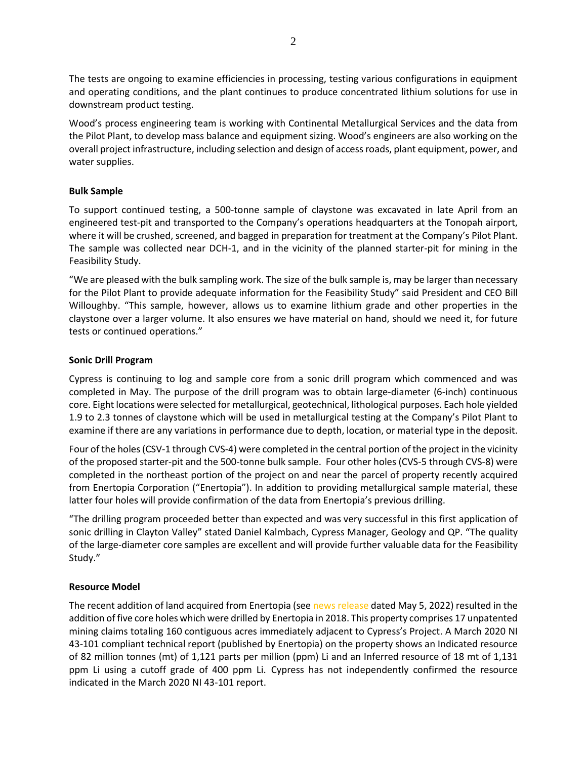The tests are ongoing to examine efficiencies in processing, testing various configurations in equipment and operating conditions, and the plant continues to produce concentrated lithium solutions for use in downstream product testing.

Wood's process engineering team is working with Continental Metallurgical Services and the data from the Pilot Plant, to develop mass balance and equipment sizing. Wood's engineers are also working on the overall project infrastructure, including selection and design of accessroads, plant equipment, power, and water supplies.

# **Bulk Sample**

To support continued testing, a 500-tonne sample of claystone was excavated in late April from an engineered test-pit and transported to the Company's operations headquarters at the Tonopah airport, where it will be crushed, screened, and bagged in preparation for treatment at the Company's Pilot Plant. The sample was collected near DCH-1, and in the vicinity of the planned starter-pit for mining in the Feasibility Study.

"We are pleased with the bulk sampling work. The size of the bulk sample is, may be larger than necessary for the Pilot Plant to provide adequate information for the Feasibility Study" said President and CEO Bill Willoughby. "This sample, however, allows us to examine lithium grade and other properties in the claystone over a larger volume. It also ensures we have material on hand, should we need it, for future tests or continued operations."

### **Sonic Drill Program**

Cypress is continuing to log and sample core from a sonic drill program which commenced and was completed in May. The purpose of the drill program was to obtain large-diameter (6-inch) continuous core. Eight locations were selected for metallurgical, geotechnical, lithological purposes. Each hole yielded 1.9 to 2.3 tonnes of claystone which will be used in metallurgical testing at the Company's Pilot Plant to examine if there are any variations in performance due to depth, location, or material type in the deposit.

Four of the holes(CSV-1 through CVS-4) were completed in the central portion of the project in the vicinity of the proposed starter-pit and the 500-tonne bulk sample. Four other holes (CVS-5 through CVS-8) were completed in the northeast portion of the project on and near the parcel of property recently acquired from Enertopia Corporation ("Enertopia"). In addition to providing metallurgical sample material, these latter four holes will provide confirmation of the data from Enertopia's previous drilling.

"The drilling program proceeded better than expected and was very successful in this first application of sonic drilling in Clayton Valley" stated Daniel Kalmbach, Cypress Manager, Geology and QP. "The quality of the large-diameter core samples are excellent and will provide further valuable data for the Feasibility Study."

# **Resource Model**

The recent addition of land acquired from Enertopia (see news [release](https://cypressdevelopmentcorp.com/news/2022-news/cypress-development-completes-enertopia-asset-acquisition/) dated May 5, 2022) resulted in the addition of five core holes which were drilled by Enertopia in 2018. This property comprises 17 unpatented mining claims totaling 160 contiguous acres immediately adjacent to Cypress's Project. A March 2020 NI 43-101 compliant technical report (published by Enertopia) on the property shows an Indicated resource of 82 million tonnes (mt) of 1,121 parts per million (ppm) Li and an Inferred resource of 18 mt of 1,131 ppm Li using a cutoff grade of 400 ppm Li. Cypress has not independently confirmed the resource indicated in the March 2020 NI 43-101 report.